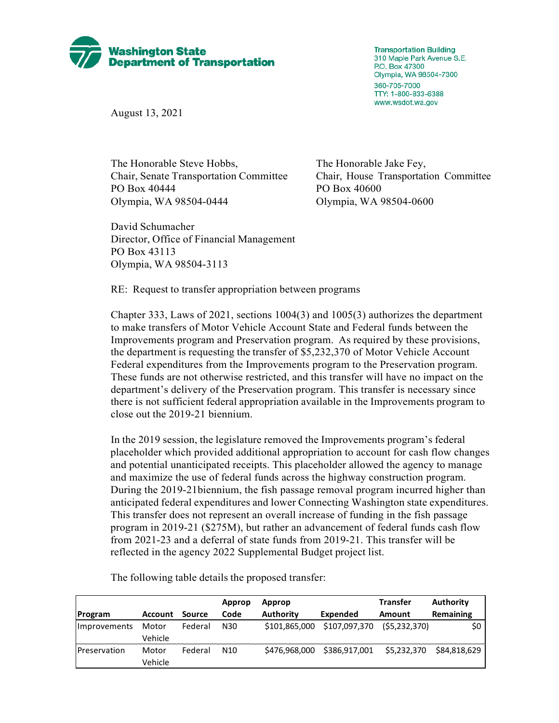

**Transportation Building** 310 Maple Park Avenue S.E. P.O. Box 47300 Olympia, WA 98504-7300 360-705-7000 TTY: 1-800-833-6388 www.wsdot.wa.gov

August 13, 2021

The Honorable Steve Hobbs, The Honorable Jake Fey, Chair, Senate Transportation Committee Chair, House Transportation Committee PO Box 40444 PO Box 40600 Olympia, WA 98504-0444 Olympia, WA 98504-0600

David Schumacher Director, Office of Financial Management PO Box 43113 Olympia, WA 98504-3113

RE: Request to transfer appropriation between programs

Chapter 333, Laws of 2021, sections 1004(3) and 1005(3) authorizes the department to make transfers of Motor Vehicle Account State and Federal funds between the Improvements program and Preservation program. As required by these provisions, the department is requesting the transfer of \$5,232,370 of Motor Vehicle Account Federal expenditures from the Improvements program to the Preservation program. These funds are not otherwise restricted, and this transfer will have no impact on the department's delivery of the Preservation program. This transfer is necessary since there is not sufficient federal appropriation available in the Improvements program to close out the 2019-21 biennium.

In the 2019 session, the legislature removed the Improvements program's federal placeholder which provided additional appropriation to account for cash flow changes and potential unanticipated receipts. This placeholder allowed the agency to manage and maximize the use of federal funds across the highway construction program. During the 2019-21biennium, the fish passage removal program incurred higher than anticipated federal expenditures and lower Connecting Washington state expenditures. This transfer does not represent an overall increase of funding in the fish passage program in 2019-21 (\$275M), but rather an advancement of federal funds cash flow from 2021-23 and a deferral of state funds from 2019-21. This transfer will be reflected in the agency 2022 Supplemental Budget project list.

|                     |                |         | Approp          | Approp           |               | <b>Transfer</b> | Authority    |
|---------------------|----------------|---------|-----------------|------------------|---------------|-----------------|--------------|
| <b>Program</b>      | <b>Account</b> | Source  | Code            | <b>Authority</b> | Expended      | Amount          | Remaining    |
| <i>Improvements</i> | Motor          | Federal | N30             | \$101,865,000    | \$107,097,370 | (55,232,370)    | \$0          |
|                     | Vehicle        |         |                 |                  |               |                 |              |
| <b>Preservation</b> | Motor          | Federal | N <sub>10</sub> | \$476,968,000    | \$386,917,001 | \$5,232,370     | \$84,818,629 |
|                     | Vehicle        |         |                 |                  |               |                 |              |

The following table details the proposed transfer: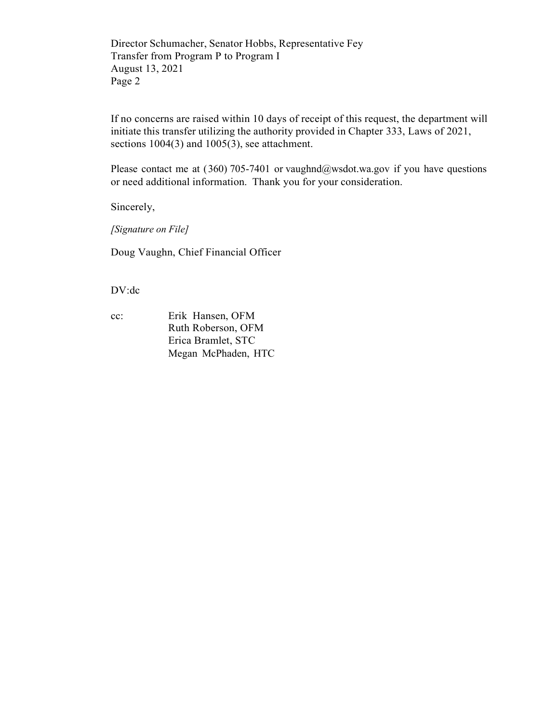Director Schumacher, Senator Hobbs, Representative Fey Transfer from Program P to Program I August 13, 2021 Page 2

If no concerns are raised within 10 days of receipt of this request, the department will initiate this transfer utilizing the authority provided in Chapter 333, Laws of 2021, sections 1004(3) and 1005(3), see attachment.

Please contact me at (360) 705-7401 or vaughnd@wsdot.wa.gov if you have questions or need additional information. Thank you for your consideration.

Sincerely,

*[Signature on File]*

Doug Vaughn, Chief Financial Officer

DV:dc

cc: Erik Hansen, OFM Ruth Roberson, OFM Erica Bramlet, STC Megan McPhaden, HTC